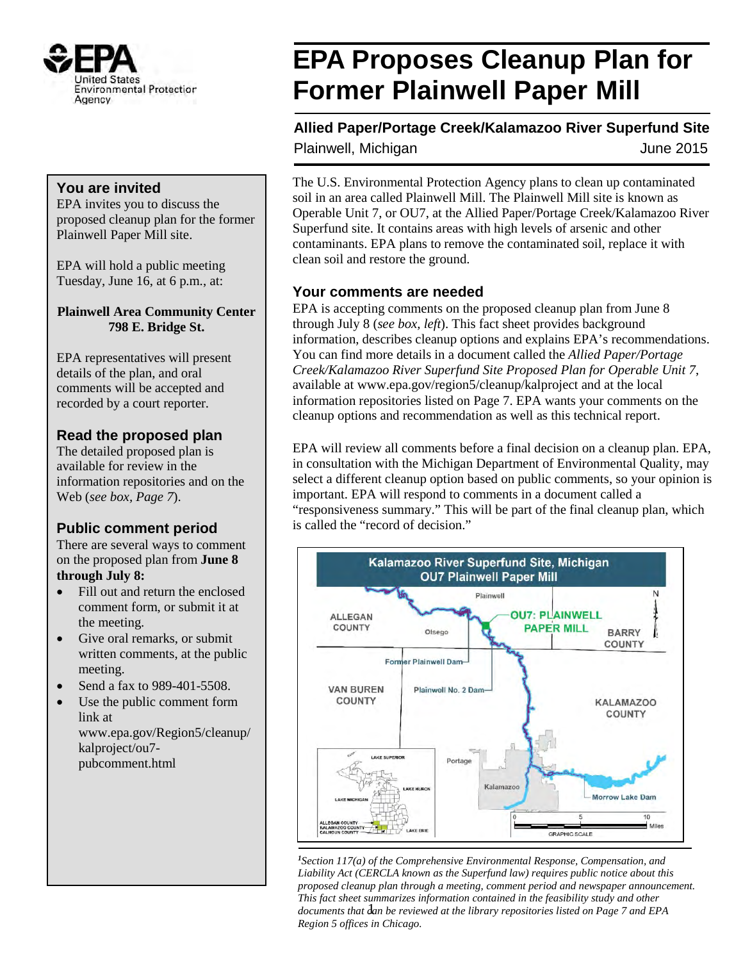

#### **You are invited**

EPA invites you to discuss the proposed cleanup plan for the former Plainwell Paper Mill site.

EPA will hold a public meeting Tuesday, June 16, at 6 p.m., at:

**Plainwell Area Community Center 798 E. Bridge St.** 

EPA representatives will present details of the plan, and oral comments will be accepted and recorded by a court reporter.

#### **Read the proposed plan**

The detailed proposed plan is available for review in the information repositories and on the Web (*see box, Page 7*).

#### **Public comment period**

There are several ways to comment on the proposed plan from **June 8 through July 8:**

- Fill out and return the enclosed comment form, or submit it at the meeting.
- Give oral remarks, or submit written comments, at the public meeting.
- Send a fax to 989-401-5508.
- Use the public comment form link at www.epa.gov/Region5/cleanup/ kalproject/ou7 pubcomment.html

# **EPA Proposes Cleanup Plan for Former Plainwell Paper Mill**

**Allied Paper/Portage Creek/Kalamazoo River Superfund Site** Plainwell, Michigan **June 2015** 

The U.S. Environmental Protection Agency plans to clean up contaminated soil in an area called Plainwell Mill. The Plainwell Mill site is known as Operable Unit 7, or OU7, at the Allied Paper/Portage Creek/Kalamazoo River Superfund site. It contains areas with high levels of arsenic and other contaminants. EPA plans to remove the contaminated soil, replace it with clean soil and restore the ground.

#### **Your comments are needed**

EPA is accepting comments on the proposed cleanup plan from June 8 through July 8 (*see box, left*). This fact sheet provides background information, describes cleanup options and explains EPA's recommendations. You can find more details in a document called the *Allied Paper/Portage Creek/Kalamazoo River Superfund Site Proposed Plan for Operable Unit 7*, available at www.epa.gov/region5/cleanup/kalproject and at the local information repositories listed on Page 7. EPA wants your comments on the cleanup options and recommendation as well as this technical report.

EPA will review all comments before a final decision on a cleanup plan. EPA, in consultation with the Michigan Department of Environmental Quality, may select a different cleanup option based on public comments, so your opinion is important. EPA will respond to comments in a document called a "responsiveness summary." This will be part of the final cleanup plan, which is called the "record of decision."



*<sup>1</sup>Section 117(a) of the Comprehensive Environmental Response, Compensation, and Liability Act (CERCLA known as the Superfund law) requires public notice about this proposed cleanup plan through a meeting, comment period and newspaper announcement. This fact sheet summarizes information contained in the feasibility study and other* documents that  $d$ an be reviewed at the library repositories listed on Page 7 and EPA *Region 5 offices in Chicago.*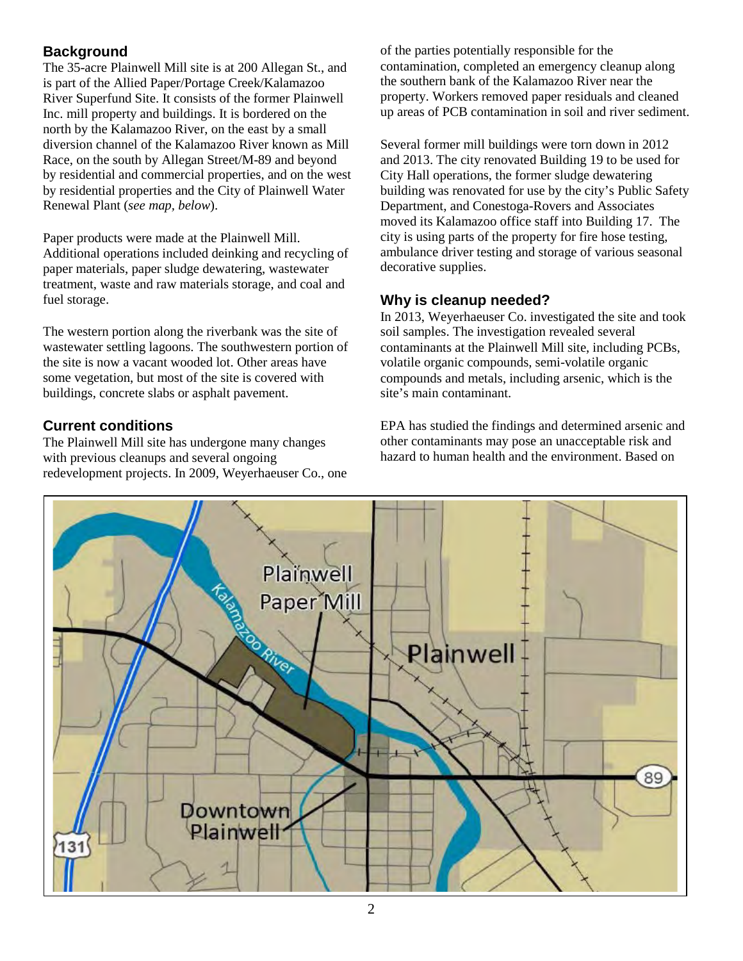#### **Background**

The 35-acre Plainwell Mill site is at 200 Allegan St., and is part of the Allied Paper/Portage Creek/Kalamazoo River Superfund Site. It consists of the former Plainwell Inc. mill property and buildings. It is bordered on the north by the Kalamazoo River, on the east by a small diversion channel of the Kalamazoo River known as Mill Race, on the south by Allegan Street/M-89 and beyond by residential and commercial properties, and on the west by residential properties and the City of Plainwell Water Renewal Plant (*see map, below*).

Paper products were made at the Plainwell Mill. Additional operations included deinking and recycling of paper materials, paper sludge dewatering, wastewater treatment, waste and raw materials storage, and coal and fuel storage.

The western portion along the riverbank was the site of wastewater settling lagoons. The southwestern portion of the site is now a vacant wooded lot. Other areas have some vegetation, but most of the site is covered with buildings, concrete slabs or asphalt pavement.

#### **Current conditions**

The Plainwell Mill site has undergone many changes with previous cleanups and several ongoing redevelopment projects. In 2009, Weyerhaeuser Co., one of the parties potentially responsible for the contamination, completed an emergency cleanup along the southern bank of the Kalamazoo River near the property. Workers removed paper residuals and cleaned up areas of PCB contamination in soil and river sediment.

Several former mill buildings were torn down in 2012 and 2013. The city renovated Building 19 to be used for City Hall operations, the former sludge dewatering building was renovated for use by the city's Public Safety Department, and Conestoga-Rovers and Associates moved its Kalamazoo office staff into Building 17. The city is using parts of the property for fire hose testing, ambulance driver testing and storage of various seasonal decorative supplies.

#### **Why is cleanup needed?**

In 2013, Weyerhaeuser Co. investigated the site and took soil samples. The investigation revealed several contaminants at the Plainwell Mill site, including PCBs, volatile organic compounds, semi-volatile organic compounds and metals, including arsenic, which is the site's main contaminant.

EPA has studied the findings and determined arsenic and other contaminants may pose an unacceptable risk and hazard to human health and the environment. Based on

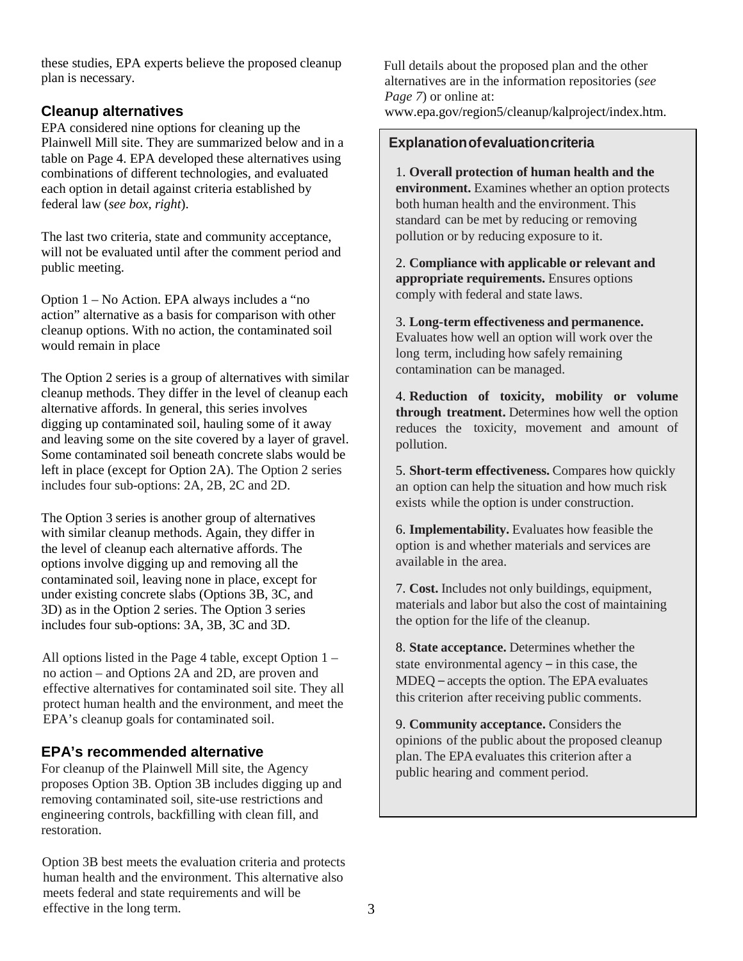these studies, EPA experts believe the proposed cleanup plan is necessary.

#### **Cleanup alternatives**

EPA considered nine options for cleaning up the Plainwell Mill site. They are summarized below and in a table on Page 4. EPA developed these alternatives using combinations of different technologies, and evaluated each option in detail against criteria established by federal law (*see box, right*).

The last two criteria, state and community acceptance, will not be evaluated until after the comment period and public meeting.

Option 1 – No Action. EPA always includes a "no action" alternative as a basis for comparison with other cleanup options. With no action, the contaminated soil would remain in place

The Option 2 series is a group of alternatives with similar cleanup methods. They differ in the level of cleanup each alternative affords. In general, this series involves digging up contaminated soil, hauling some of it away and leaving some on the site covered by a layer of gravel. Some contaminated soil beneath concrete slabs would be left in place (except for Option 2A). The Option 2 series includes four sub-options: 2A, 2B, 2C and 2D.

The Option 3 series is another group of alternatives with similar cleanup methods. Again, they differ in the level of cleanup each alternative affords. The options involve digging up and removing all the contaminated soil, leaving none in place, except for under existing concrete slabs (Options 3B, 3C, and 3D) as in the Option 2 series. The Option 3 series includes four sub-options: 3A, 3B, 3C and 3D.

All options listed in the Page 4 table, except Option 1 – no action – and Options 2A and 2D, are proven and effective alternatives for contaminated soil site. They all protect human health and the environment, and meet the EPA's cleanup goals for contaminated soil.

#### **EPA's recommended alternative**

For cleanup of the Plainwell Mill site, the Agency proposes Option 3B. Option 3B includes digging up and removing contaminated soil, site-use restrictions and engineering controls, backfilling with clean fill, and restoration.

Option 3B best meets the evaluation criteria and protects human health and the environment. This alternative also meets federal and state requirements and will be effective in the long term.

Full details about the proposed plan and the other alternatives are in the information repositories (*see Page 7*) or online at: www.epa.gov/region5/cleanup/kalproject/index.htm.

#### **Explanationofevaluationcriteria**

1. **Overall protection of human health and the environment.** Examines whether an option protects both human health and the environment. This standard can be met by reducing or removing pollution or by reducing exposure to it.

2. **Compliance with applicable or relevant and appropriate requirements.** Ensures options comply with federal and state laws.

3. **Long-term effectiveness and permanence.** Evaluates how well an option will work over the long term, including how safely remaining contamination can be managed.

4. **Reduction of toxicity, mobility or volume through treatment.** Determines how well the option reduces the toxicity, movement and amount of pollution.

5. **Short-term effectiveness.** Compares how quickly an option can help the situation and how much risk exists while the option is under construction.

6. **Implementability.** Evaluates how feasible the option is and whether materials and services are available in the area.

7. **Cost.** Includes not only buildings, equipment, materials and labor but also the cost of maintaining the option for the life of the cleanup.

8. **State acceptance.** Determines whether the state environmental agency – in this case, the MDEQ – accepts the option. The EPA evaluates this criterion after receiving public comments.

9. **Community acceptance.** Considers the opinions of the public about the proposed cleanup plan. The EPAevaluates this criterion after a public hearing and comment period.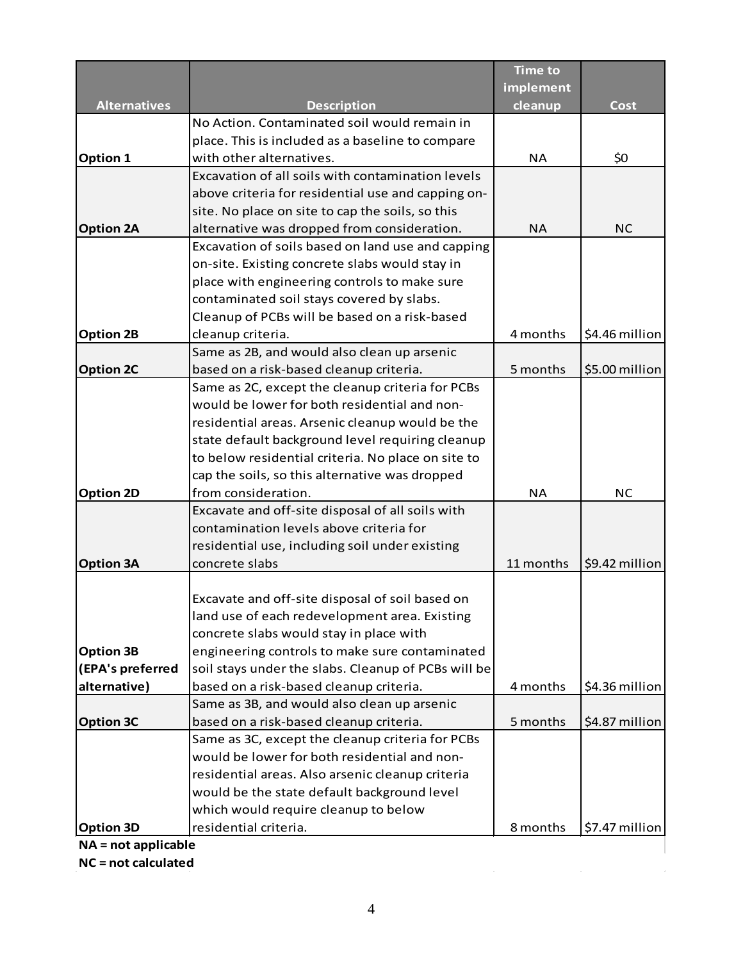|                       |                                                     | <b>Time to</b> |                |
|-----------------------|-----------------------------------------------------|----------------|----------------|
|                       |                                                     | implement      |                |
| <b>Alternatives</b>   | <b>Description</b>                                  | cleanup        | Cost           |
|                       | No Action. Contaminated soil would remain in        |                |                |
|                       | place. This is included as a baseline to compare    |                |                |
| Option 1              | with other alternatives.                            | <b>NA</b>      | \$0            |
|                       | Excavation of all soils with contamination levels   |                |                |
|                       | above criteria for residential use and capping on-  |                |                |
|                       | site. No place on site to cap the soils, so this    |                |                |
| <b>Option 2A</b>      | alternative was dropped from consideration.         | <b>NA</b>      | <b>NC</b>      |
|                       | Excavation of soils based on land use and capping   |                |                |
|                       | on-site. Existing concrete slabs would stay in      |                |                |
|                       | place with engineering controls to make sure        |                |                |
|                       | contaminated soil stays covered by slabs.           |                |                |
|                       | Cleanup of PCBs will be based on a risk-based       |                |                |
| <b>Option 2B</b>      | cleanup criteria.                                   | 4 months       | \$4.46 million |
|                       | Same as 2B, and would also clean up arsenic         |                |                |
| <b>Option 2C</b>      | based on a risk-based cleanup criteria.             | 5 months       | \$5.00 million |
|                       | Same as 2C, except the cleanup criteria for PCBs    |                |                |
|                       | would be lower for both residential and non-        |                |                |
|                       | residential areas. Arsenic cleanup would be the     |                |                |
|                       | state default background level requiring cleanup    |                |                |
|                       | to below residential criteria. No place on site to  |                |                |
|                       | cap the soils, so this alternative was dropped      |                |                |
| <b>Option 2D</b>      | from consideration.                                 | <b>NA</b>      | <b>NC</b>      |
|                       | Excavate and off-site disposal of all soils with    |                |                |
|                       | contamination levels above criteria for             |                |                |
|                       | residential use, including soil under existing      |                |                |
| <b>Option 3A</b>      | concrete slabs                                      | 11 months      | \$9.42 million |
|                       |                                                     |                |                |
|                       | Excavate and off-site disposal of soil based on     |                |                |
|                       | land use of each redevelopment area. Existing       |                |                |
|                       | concrete slabs would stay in place with             |                |                |
| <b>Option 3B</b>      | engineering controls to make sure contaminated      |                |                |
| (EPA's preferred      | soil stays under the slabs. Cleanup of PCBs will be |                |                |
| alternative)          | based on a risk-based cleanup criteria.             | 4 months       | \$4.36 million |
|                       | Same as 3B, and would also clean up arsenic         |                |                |
| <b>Option 3C</b>      | based on a risk-based cleanup criteria.             | 5 months       | \$4.87 million |
|                       | Same as 3C, except the cleanup criteria for PCBs    |                |                |
|                       | would be lower for both residential and non-        |                |                |
|                       | residential areas. Also arsenic cleanup criteria    |                |                |
|                       | would be the state default background level         |                |                |
|                       | which would require cleanup to below                |                |                |
| <b>Option 3D</b>      | residential criteria.                               | 8 months       | \$7.47 million |
| $NA = not applicable$ |                                                     |                |                |

**NC = not calculated**

 $\mathcal{L}_{\mathcal{A}}$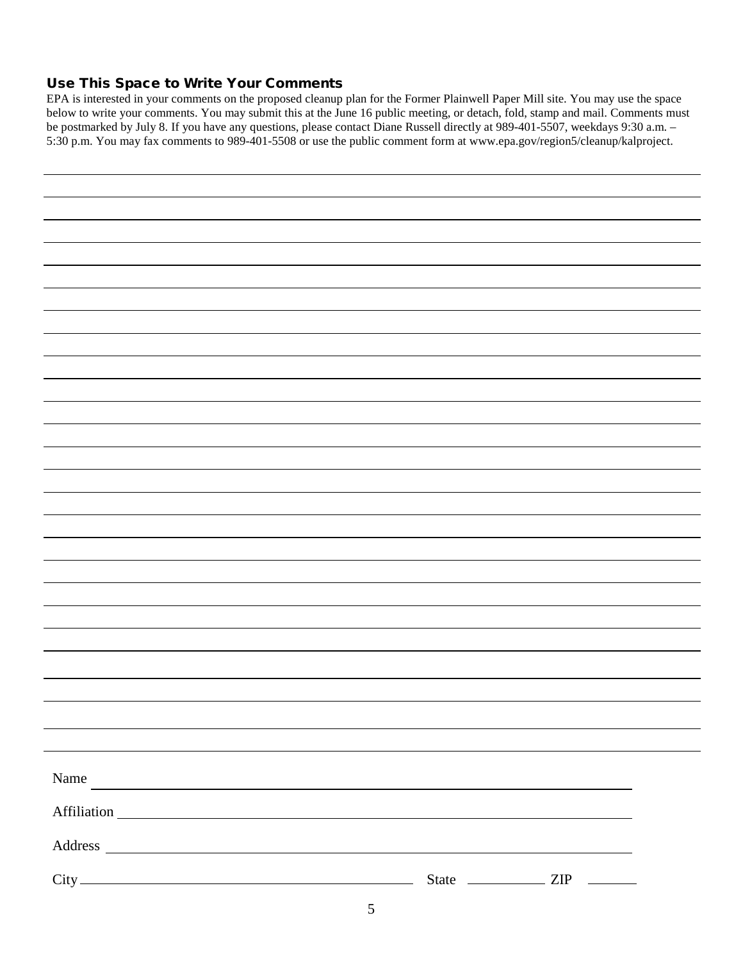#### Use This Space to Write Your Comments

EPA is interested in your comments on the proposed cleanup plan for the Former Plainwell Paper Mill site. You may use the space below to write your comments. You may submit this at the June 16 public meeting, or detach, fold, stamp and mail. Comments must be postmarked by July 8. If you have any questions, please contact Diane Russell directly at 989-401-5507, weekdays 9:30 a.m. – 5:30 p.m. You may fax comments to 989-401-5508 or use the public comment form at www.epa.gov/region5/cleanup/kalproject.

| Name<br><u> 1989 - Andrea Santa Alemania, amerikana amerikana amerikana amerikana amerikana amerikana amerikana amerikana</u> |  |
|-------------------------------------------------------------------------------------------------------------------------------|--|
|                                                                                                                               |  |
|                                                                                                                               |  |
|                                                                                                                               |  |
|                                                                                                                               |  |
|                                                                                                                               |  |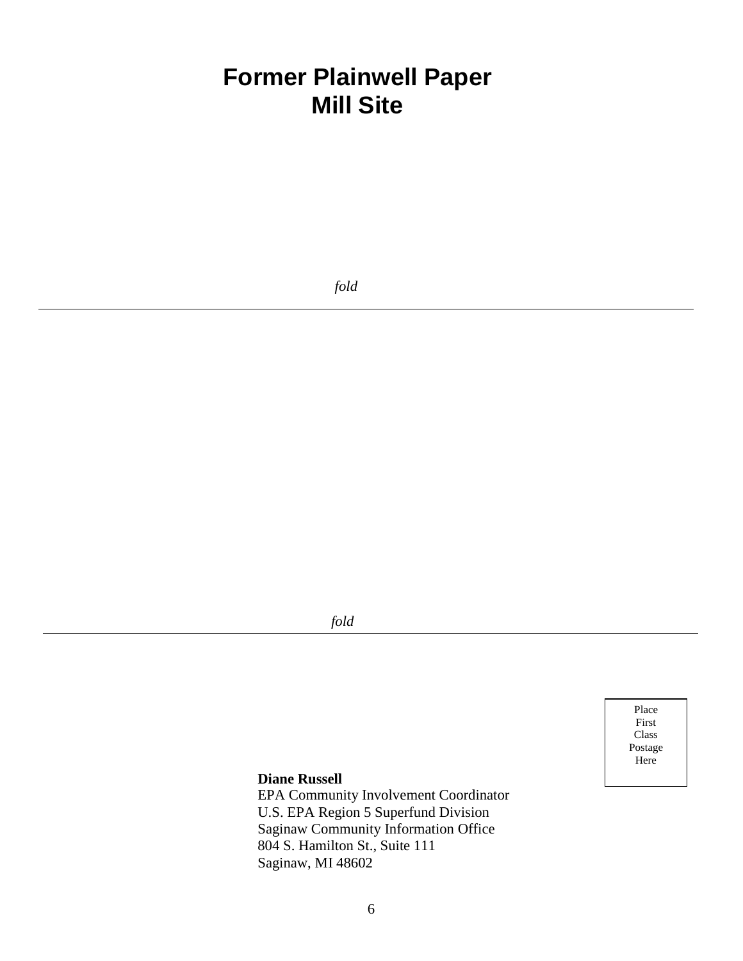## **Former Plainwell Paper Mill Site**

 *fold*

 *fold*

Place First Class Postage Here

#### **Diane Russell**

EPA Community Involvement Coordinator U.S. EPA Region 5 Superfund Division Saginaw Community Information Office 804 S. Hamilton St., Suite 111 Saginaw, MI 48602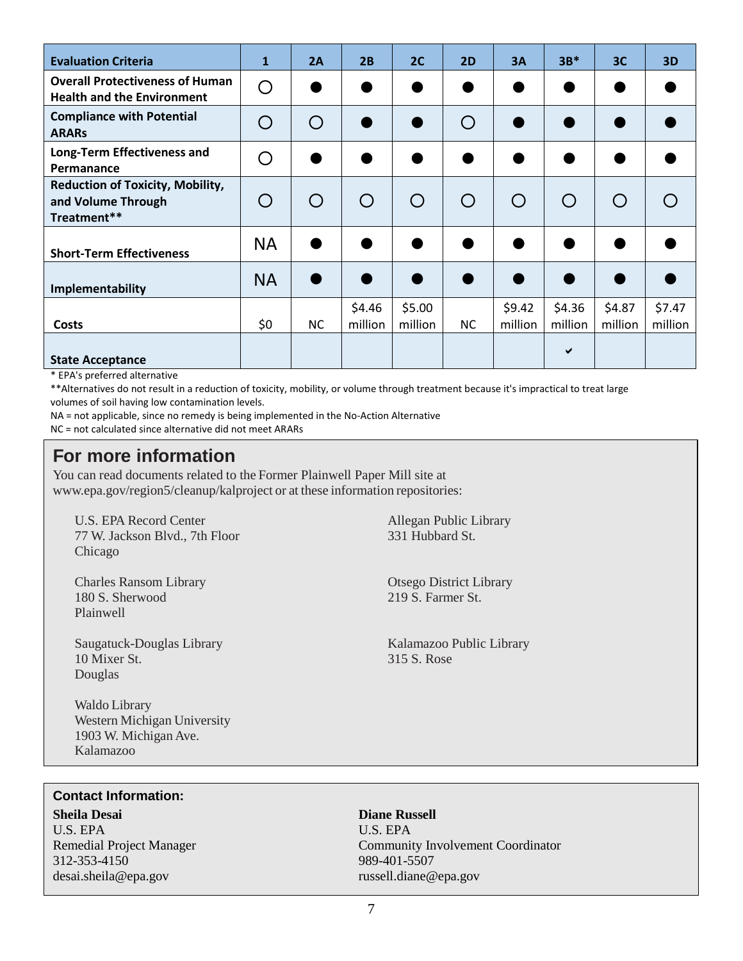| <b>Evaluation Criteria</b>                                                   | $\mathbf 1$ | 2A        | 2B                                            | 2C                | <b>2D</b>                                     | 3A                | $3B*$             | 3C                | 3D                |
|------------------------------------------------------------------------------|-------------|-----------|-----------------------------------------------|-------------------|-----------------------------------------------|-------------------|-------------------|-------------------|-------------------|
| <b>Overall Protectiveness of Human</b><br><b>Health and the Environment</b>  | ∩           |           |                                               |                   |                                               |                   |                   |                   |                   |
| <b>Compliance with Potential</b><br><b>ARARS</b>                             |             | $\Box$    |                                               |                   | $\left( \begin{array}{c} \end{array} \right)$ |                   |                   |                   |                   |
| Long-Term Effectiveness and<br>Permanance                                    | ( )         |           |                                               |                   |                                               |                   |                   |                   |                   |
| <b>Reduction of Toxicity, Mobility,</b><br>and Volume Through<br>Treatment** |             |           | $\left(\begin{array}{c} 1 \end{array}\right)$ |                   | $\left(\begin{array}{c} 1 \end{array}\right)$ | $\bigcirc$        | $\bigcap$         | $\bigcap$         |                   |
| <b>Short-Term Effectiveness</b>                                              | <b>NA</b>   |           |                                               |                   |                                               |                   |                   |                   |                   |
| Implementability                                                             | <b>NA</b>   |           |                                               |                   |                                               |                   |                   |                   |                   |
| <b>Costs</b>                                                                 | \$0         | <b>NC</b> | \$4.46<br>million                             | \$5.00<br>million | <b>NC</b>                                     | \$9.42<br>million | \$4.36<br>million | \$4.87<br>million | \$7.47<br>million |
| <b>State Acceptance</b>                                                      |             |           |                                               |                   |                                               |                   | ✔                 |                   |                   |

\* EPA's preferred alternative

\*\*Alternatives do not result in a reduction of toxicity, mobility, or volume through treatment because it's impractical to treat large volumes of soil having low contamination levels.

NA = not applicable, since no remedy is being implemented in the No-Action Alternative

NC = not calculated since alternative did not meet ARARs

### **For more information**

You can read documents related to the Former Plainwell Paper Mill site at [www.epa.gov/region5/cleanup/kalproject o](http://www.epa.gov/region5/cleanup/kalproject)r at these information repositories:

U.S. EPA Record Center Allegan Public Library 77 W. Jackson Blvd., 7th Floor 331 Hubbard St. Chicago

Charles Ransom Library Otsego District Library Otsego District Library 180 S Sherwood 219 S Farmer St 180 S. Sherwood Plainwell

Saugatuck-Douglas Library Kalamazoo Public Library Kalamazoo Public Library 10 Mixer St. 315 S. Rose Douglas

Waldo Library Western Michigan University 1903 W. Michigan Ave. Kalamazoo

#### **Contact Information:**

**Sheila Desai Diane Russell** U.S. EPAU.S. EPA 312-353-4150 desai.sheila@epa.gov russell.diane@epa.gov

Remedial Project Manager Community Involvement Coordinator<br>
312-353-4150 989-401-5507